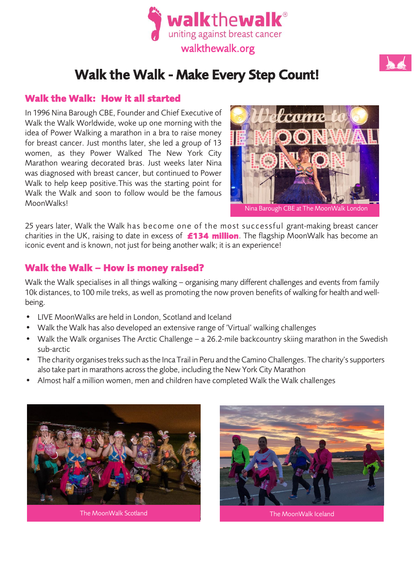

# Walk the Walk - Make Every Step Count!

#### **Walk the Walk: How it all started**

In 1996 Nina Barough CBE, Founder and Chief Executive of Walk the Walk Worldwide, woke up one morning with the idea of Power Walking a marathon in a bra to raise money for breast cancer. Just months later, she led a group of 13 women, as they Power Walked The New York City Marathon wearing decorated bras. Just weeks later Nina was diagnosed with breast cancer, but continued to Power Walk to help keep positive.This was the starting point for Walk the Walk and soon to follow would be the famous MoonWalks!



25 years later, Walk the Walk has become one of the most successful grant-making breast cancer charities in the UK, raising to date in excess of **£134 million**. The flagship MoonWalk has become an iconic event and is known, not just for being another walk; it is an experience!

## **Walk the Walk – How is money raised?**

Walk the Walk specialises in all things walking – organising many different challenges and events from family 10k distances, to 100 mile treks, as well as promoting the now proven benefits of walking for health and wellbeing.

- LIVE MoonWalks are held in London, Scotland and Iceland
- Walk the Walk has also developed an extensive range of 'Virtual' walking challenges
- Walk the Walk organises The Arctic Challenge a 26.2-mile backcountry skiing marathon in the Swedish sub-arctic
- The charity organises treks such as the Inca Trail in Peru and the Camino Challenges. The charity's supporters also take part in marathons across the globe, including the New York City Marathon
- Almost half a million women, men and children have completed Walk the Walk challenges



The MoonWalk Scotland The MoonWalk Iceland